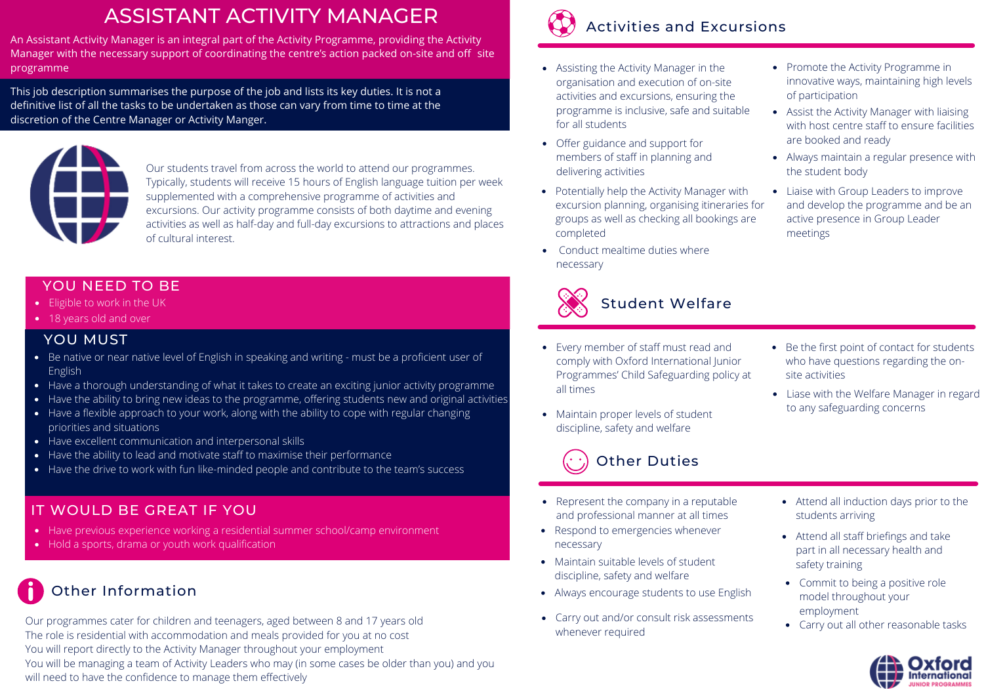## ASSISTANT ACTIVITY MANAGER

An Assistant Activity Manager is an integral part of the Activity Programme, providing the Activity Manager with the necessary support of coordinating the centre's action packed on-site and off site programme

This job description summarises the purpose of the job and lists its key duties. It is not a definitive list of all the tasks to be undertaken as those can vary from time to time at the discretion of the Centre Manager or Activity Manger.



Our students travel from across the world to attend our programmes. Typically, students will receive 15 hours of English language tuition per week supplemented with a comprehensive programme of activities and excursions. Our activity programme consists of both daytime and evening activities as well as half-day and full-day excursions to attractions and places of cultural interest.

#### YOU NEED TO BE

- Eligible to work in the UK
- 18 years old and over

#### YOU MUST

- Be native or near native level of English in speaking and writing must be a proficient user of English
- Have a thorough understanding of what it takes to create an exciting junior activity programme
- Have the ability to bring new ideas to the programme, offering students new and original activities
- Have a flexible approach to your work, along with the ability to cope with regular changing priorities and situations
- Have excellent communication and interpersonal skills
- Have the ability to lead and motivate staff to maximise their performance
- Have the drive to work with fun like-minded people and contribute to the team's success

### IT WOULD BE GREAT IF YOU

- Have previous experience working a residential summer school/camp environment
- Hold a sports, drama or youth work qualification

## Other Information

Our programmes cater for children and teenagers, aged between 8 and 17 years old The role is residential with accommodation and meals provided for you at no cost You will report directly to the Activity Manager throughout your employment You will be managing a team of Activity Leaders who may (in some cases be older than you) and you will need to have the confidence to manage them effectively



- Assisting the Activity Manager in the organisation and execution of on-site activities and excursions, ensuring the programme is inclusive, safe and suitable for all students
- Offer guidance and support for members of staff in planning and delivering activities
- Potentially help the Activity Manager with excursion planning, organising itineraries for groups as well as checking all bookings are completed
- Conduct mealtime duties where necessary



#### Student Welfare

- Every member of staff must read and comply with Oxford International Junior Programmes' Child Safeguarding policy at all times
- discipline, safety and welfare



- Represent the company in a reputable and professional manner at all times
- Respond to emergencies whenever necessary
- Maintain suitable levels of student discipline, safety and welfare
- Always encourage students to use English
- Carry out and/or consult risk assessments whenever required
- Promote the Activity Programme in innovative ways, maintaining high levels of participation
- Assist the Activity Manager with liaising with host centre staff to ensure facilities are booked and ready
- Always maintain a regular presence with the student body
- Liaise with Group Leaders to improve and develop the programme and be an active presence in Group Leader meetings

- Be the first point of contact for students who have questions regarding the onsite activities
- Liase with the Welfare Manager in regard to any safeguarding concerns Maintain proper levels of student

- Attend all induction days prior to the students arriving
- Attend all staff briefings and take part in all necessary health and safety training
- Commit to being a positive role model throughout your employment
- Carry out all other reasonable tasks